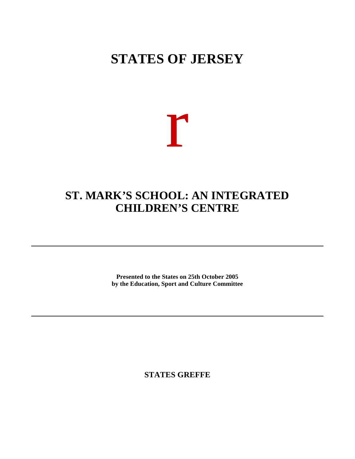# **STATES OF JERSEY**

# r

## **ST. MARK'S SCHOOL: AN INTEGRATED CHILDREN'S CENTRE**

**Presented to the States on 25th October 2005 by the Education, Sport and Culture Committee**

**STATES GREFFE**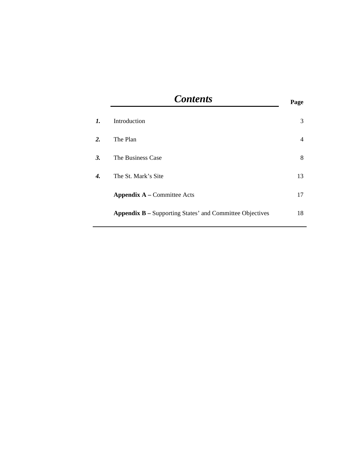| <b>Contents</b>                                                 | Page           |
|-----------------------------------------------------------------|----------------|
| Introduction                                                    | 3              |
| The Plan                                                        | $\overline{4}$ |
| The Business Case                                               | 8              |
| The St. Mark's Site                                             | 13             |
| <b>Appendix A</b> – Committee Acts                              | 17             |
| <b>Appendix B</b> – Supporting States' and Committee Objectives | 18             |
|                                                                 |                |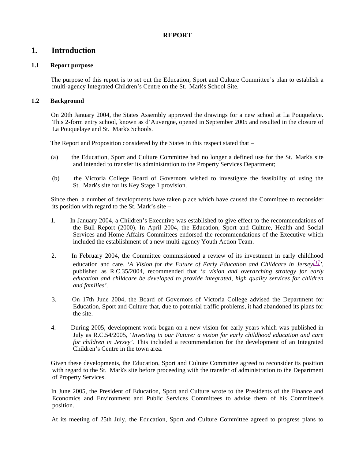## **REPORT**

## **1. Introduction**

## **1.1 Report purpose**

 The purpose of this report is to set out the Education, Sport and Culture Committee's plan to establish a multi-agency Integrated Children's Centre on the St. Mark's School Site.

## **1.2 Background**

 On 20th January 2004, the States Assembly approved the drawings for a new school at La Pouquelaye. This 2-form entry school, known as d'Auvergne, opened in September 2005 and resulted in the closure of La Pouquelaye and St. Mark's Schools.

The Report and Proposition considered by the States in this respect stated that –

- (a) the Education, Sport and Culture Committee had no longer a defined use for the St. Mark's site and intended to transfer its administration to the Property Services Department;
- (b) the Victoria College Board of Governors wished to investigate the feasibility of using the St. Mark's site for its Key Stage 1 provision.

 Since then, a number of developments have taken place which have caused the Committee to reconsider its position with regard to the St. Mark's site –

- 1. In January 2004, a Children's Executive was established to give effect to the recommendations of the Bull Report (2000). In April 2004, the Education, Sport and Culture, Health and Social Services and Home Affairs Committees endorsed the recommendations of the Executive which included the establishment of a new multi-agency Youth Action Team.
- 2. In February 2004, the Committee commissioned a review of its investment in early childhood education and care. *'A Vision for the Future of Early Education and Childcare in Jersey[1] '*, published as R.C.35/2004, recommended that *'a vision and overarching strategy for early education and childcare be developed to provide integrated, high quality services for children and families'.*
- 3. On 17th June 2004, the Board of Governors of Victoria College advised the Department for Education, Sport and Culture that, due to potential traffic problems, it had abandoned its plans for the site.
- 4. During 2005, development work began on a new vision for early years which was published in July as R.C.54/2005, '*Investing in our Future: a vision for early childhood education and care for children in Jersey'.* This included a recommendation for the development of an Integrated Children's Centre in the town area.

 Given these developments, the Education, Sport and Culture Committee agreed to reconsider its position with regard to the St. Mark's site before proceeding with the transfer of administration to the Department of Property Services.

 In June 2005, the President of Education, Sport and Culture wrote to the Presidents of the Finance and Economics and Environment and Public Services Committees to advise them of his Committee's position.

At its meeting of 25th July, the Education, Sport and Culture Committee agreed to progress plans to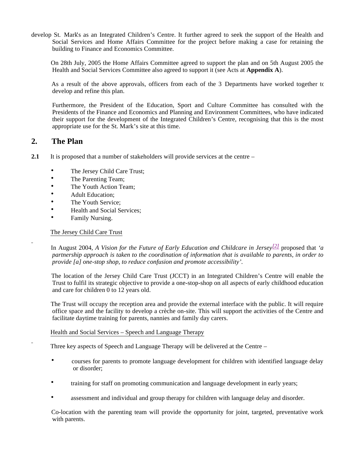develop St. Mark's as an Integrated Children's Centre. It further agreed to seek the support of the Health and Social Services and Home Affairs Committee for the project before making a case for retaining the building to Finance and Economics Committee.

 On 28th July, 2005 the Home Affairs Committee agreed to support the plan and on 5th August 2005 the Health and Social Services Committee also agreed to support it (see Acts at **Appendix A**).

 As a result of the above approvals, officers from each of the 3 Departments have worked together to develop and refine this plan.

 Furthermore, the President of the Education, Sport and Culture Committee has consulted with the Presidents of the Finance and Economics and Planning and Environment Committees, who have indicated their support for the development of the Integrated Children's Centre, recognising that this is the most appropriate use for the St. Mark's site at this time.

## **2. The Plan**

- **2.1** It is proposed that a number of stakeholders will provide services at the centre
	- The Jersey Child Care Trust;
	- The Parenting Team;
	- The Youth Action Team:
	- **Adult Education:**
	- The Youth Service;
	- Health and Social Services;
	- Family Nursing.

## The Jersey Child Care Trust

 In August 2004, *A Vision for the Future of Early Education and Childcare in Jersey[2]* proposed that *'a partnership approach is taken to the coordination of information that is available to parents, in order to provide [a] one-stop shop, to reduce confusion and promote accessibility'.*

 The location of the Jersey Child Care Trust (JCCT) in an Integrated Children's Centre will enable the Trust to fulfil its strategic objective to provide a one-stop-shop on all aspects of early childhood education and care for children 0 to 12 years old.

 The Trust will occupy the reception area and provide the external interface with the public. It will require office space and the facility to develop a crèche on-site. This will support the activities of the Centre and facilitate daytime training for parents, nannies and family day carers.

## Health and Social Services – Speech and Language Therapy

Three key aspects of Speech and Language Therapy will be delivered at the Centre –

- courses for parents to promote language development for children with identified language delay or disorder;
- training for staff on promoting communication and language development in early years;
- assessment and individual and group therapy for children with language delay and disorder.

 Co-location with the parenting team will provide the opportunity for joint, targeted, preventative work with parents.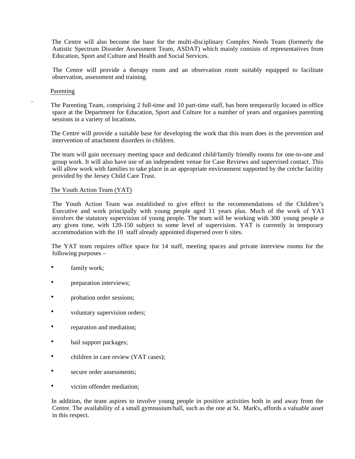The Centre will also become the base for the multi-disciplinary Complex Needs Team (formerly the Autistic Spectrum Disorder Assessment Team, ASDAT) which mainly consists of representatives from Education, Sport and Culture and Health and Social Services.

 The Centre will provide a therapy room and an observation room suitably equipped to facilitate observation, assessment and training.

## Parenting

 The Parenting Team, comprising 2 full-time and 10 part-time staff, has been temporarily located in office space at the Department for Education, Sport and Culture for a number of years and organises parenting sessions in a variety of locations.

 The Centre will provide a suitable base for developing the work that this team does in the prevention and intervention of attachment disorders in children.

 The team will gain necessary meeting space and dedicated child/family friendly rooms for one-to-one and group work. It will also have use of an independent venue for Case Reviews and supervised contact. This will allow work with families to take place in an appropriate environment supported by the crèche facility provided by the Jersey Child Care Trust.

## The Youth Action Team (YAT)

 The Youth Action Team was established to give effect to the recommendations of the Children's Executive and work principally with young people aged 11 years plus. Much of the work of YAT involves the statutory supervision of young people. The team will be working with 300 young people at any given time, with 120-150 subject to some level of supervision. YAT is currently in temporary accommodation with the 10 staff already appointed dispersed over 6 sites.

 The YAT team requires office space for 14 staff, meeting spaces and private interview rooms for the following purposes –

- family work;
- preparation interviews;
- probation order sessions;
- voluntary supervision orders;
- reparation and mediation;
- bail support packages;
- children in care review (YAT cases);
- secure order assessments;
- victim offender mediation;

 In addition, the team aspires to involve young people in positive activities both in and away from the Centre. The availability of a small gymnasium/hall, such as the one at St. Mark's, affords a valuable asset in this respect.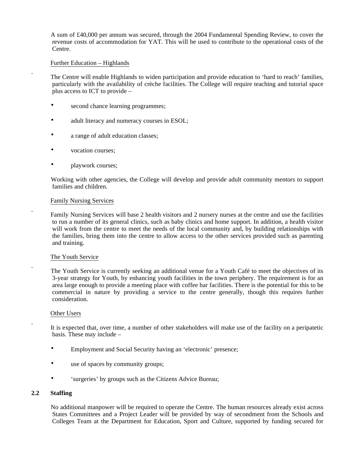A sum of £40,000 per annum was secured, through the 2004 Fundamental Spending Review, to cover the revenue costs of accommodation for YAT. This will be used to contribute to the operational costs of the Centre.

## Further Education – Highlands

 The Centre will enable Highlands to widen participation and provide education to 'hard to reach' families, particularly with the availability of crèche facilities. The College will require teaching and tutorial space plus access to ICT to provide –

- second chance learning programmes;
- adult literacy and numeracy courses in ESOL;
- a range of adult education classes;
- vocation courses;
- **playwork courses;**

 Working with other agencies, the College will develop and provide adult community mentors to support families and children.

## Family Nursing Services

 Family Nursing Services will base 2 health visitors and 2 nursery nurses at the centre and use the facilities to run a number of its general clinics, such as baby clinics and home support. In addition, a health visitor will work from the centre to meet the needs of the local community and, by building relationships with the families, bring them into the centre to allow access to the other services provided such as parenting and training.

## The Youth Service

 The Youth Service is currently seeking an additional venue for a Youth Café to meet the objectives of its 3-year strategy for Youth, by enhancing youth facilities in the town periphery. The requirement is for an area large enough to provide a meeting place with coffee bar facilities. There is the potential for this to be commercial in nature by providing a service to the centre generally, though this requires further consideration.

## Other Users

 It is expected that, over time, a number of other stakeholders will make use of the facility on a peripatetic basis. These may include –

- Employment and Social Security having an 'electronic' presence;
- use of spaces by community groups;
- 'surgeries' by groups such as the Citizens Advice Bureau;

## **2.2 Staffing**

No additional manpower will be required to operate the Centre. The human resources already exist across States Committees and a Project Leader will be provided by way of secondment from the Schools and Colleges Team at the Department for Education, Sport and Culture, supported by funding secured for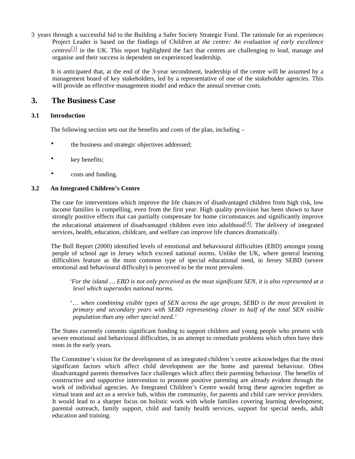3 years through a successful bid to the Building a Safer Society Strategic Fund. The rationale for an experienced Project Leader is based on the findings of *Children at the centre: An evaluation of early excellence centres[3]* in the UK. This report highlighted the fact that centres are challenging to lead, manage and organise and their success is dependent on experienced leadership.

 It is anticipated that, at the end of the 3-year secondment, leadership of the centre will be assumed by a management board of key stakeholders, led by a representative of one of the stakeholder agencies. This will provide an effective management model and reduce the annual revenue costs.

## **3. The Business Case**

## **3.1 Introduction**

The following section sets out the benefits and costs of the plan, including –

- the business and strategic objectives addressed;
- key benefits;
- costs and funding.

## **3.2 An Integrated Children's Centre**

 The case for interventions which improve the life chances of disadvantaged children from high risk, low income families is compelling, even from the first year. High quality provision has been shown to have strongly positive effects that can partially compensate for home circumstances and significantly improve the educational attainment of disadvantaged children even into adulthood $[4]$ . The delivery of integrated services, health, education, childcare, and welfare can improve life chances dramatically.

 The Bull Report (2000) identified levels of emotional and behavioural difficulties (EBD) amongst young people of school age in Jersey which exceed national norms. Unlike the UK, where general learning difficulties feature as the most common type of special educational need, in Jersey SEBD (severe emotional and behavioural difficulty) is perceived to be the most prevalent.

 *'For the island … EBD is not only perceived as the most significant SEN, it is also represented at a level which supersedes national norms.*

 '… *when combining visible types of SEN across the age groups, SEBD is the most prevalent in primary and secondary years with SEBD representing closer to half of the total SEN visible population than any other special need.'*

 The States currently commits significant funding to support children and young people who present with severe emotional and behavioural difficulties, in an attempt to remediate problems which often have their roots in the early years.

 The Committee's vision for the development of an integrated children's centre acknowledges that the most significant factors which affect child development are the home and parental behaviour. Often disadvantaged parents themselves face challenges which affect their parenting behaviour. The benefits of constructive and supportive intervention to promote positive parenting are already evident through the work of individual agencies. An Integrated Children's Centre would bring these agencies together as virtual team and act as a service hub, within the community, for parents and child care service providers. It would lead to a sharper focus on holistic work with whole families covering learning development, parental outreach, family support, child and family health services, support for special needs, adult education and training.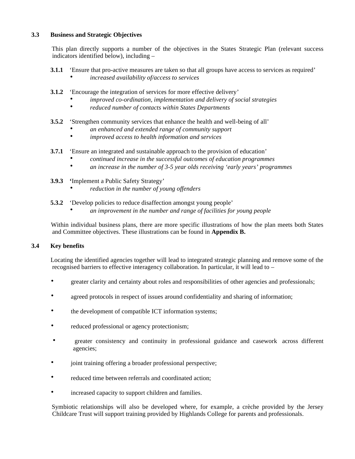## **3.3 Business and Strategic Objectives**

This plan directly supports a number of the objectives in the States Strategic Plan (relevant success indicators identified below), including –

- **3.1.1** 'Ensure that pro-active measures are taken so that all groups have access to services as required'
	- *increased availability of/access to services*
- **3.1.2** 'Encourage the integration of services for more effective delivery'
	- *improved co-ordination, implementation and delivery of social strategies*
	- *reduced number of contacts within States Departments*
- **3.5.2** 'Strengthen community services that enhance the health and well-being of all'
	- *an enhanced and extended range of community support*
	- *improved access to health information and services*
- **3.7.1** 'Ensure an integrated and sustainable approach to the provision of education'
	- *continued increase in the successful outcomes of education programmes*
	- *an increase in the number of 3-5 year olds receiving 'early years' programmes*
- **3.9.3 '**Implement a Public Safety Strategy'
	- *reduction in the number of young offenders*
- **5.3.2** 'Develop policies to reduce disaffection amongst young people'
	- *an improvement in the number and range of facilities for young people*

 Within individual business plans, there are more specific illustrations of how the plan meets both States and Committee objectives. These illustrations can be found in **Appendix B.**

## **3.4 Key benefits**

Locating the identified agencies together will lead to integrated strategic planning and remove some of the recognised barriers to effective interagency collaboration. In particular, it will lead to –

- greater clarity and certainty about roles and responsibilities of other agencies and professionals;
- agreed protocols in respect of issues around confidentiality and sharing of information;
- the development of compatible ICT information systems;
- reduced professional or agency protectionism;
- greater consistency and continuity in professional guidance and casework across different agencies;
- joint training offering a broader professional perspective;
- reduced time between referrals and coordinated action:
- increased capacity to support children and families.

 Symbiotic relationships will also be developed where, for example, a crèche provided by the Jersey Childcare Trust will support training provided by Highlands College for parents and professionals.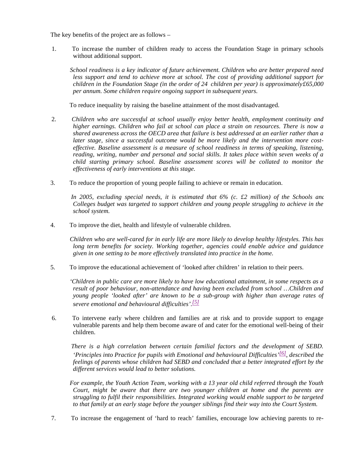The key benefits of the project are as follows –

 1. To increase the number of children ready to access the Foundation Stage in primary schools without additional support.

 *School readiness is a key indicator of future achievement. Children who are better prepared need less support and tend to achieve more at school. The cost of providing additional support for children in the Foundation Stage (in the order of 24 children per year) is approximately£65,000 per annum. Some children require ongoing support in subsequent years.*

To reduce inequality by raising the baseline attainment of the most disadvantaged.

- 2. *Children who are successful at school usually enjoy better health, employment continuity and higher earnings. Children who fail at school can place a strain on resources. There is now a shared awareness across the OECD area that failure is best addressed at an earlier rather than a later stage, since a successful outcome would be more likely and the intervention more costeffective. Baseline assessment is a measure of school readiness in terms of speaking, listening, reading, writing, number and personal and social skills. It takes place within seven weeks of a child starting primary school. Baseline assessment scores will be collated to monitor the effectiveness of early interventions at this stage.*
- 3. To reduce the proportion of young people failing to achieve or remain in education.

 *In 2005, excluding special needs, it is estimated that 6% (c. £2 million) of the Schools and Colleges budget was targeted to support children and young people struggling to achieve in the school system.*

4. To improve the diet, health and lifestyle of vulnerable children.

 *Children who are well-cared for in early life are more likely to develop healthy lifestyles. This has long term benefits for society. Working together, agencies could enable advice and guidance given in one setting to be more effectively translated into practice in the home.*

5. To improve the educational achievement of 'looked after children' in relation to their peers.

 *'Children in public care are more likely to have low educational attainment, in some respects as a result of poor behaviour, non-attendance and having been excluded from school …Children and young people 'looked after' are known to be a sub-group with higher than average rates of severe emotional and behavioural difficulties'. [5]*

 6. To intervene early where children and families are at risk and to provide support to engage vulnerable parents and help them become aware of and cater for the emotional well-being of their children.

 *There is a high correlation between certain familial factors and the development of SEBD. 'Principles into Practice for pupils with Emotional and behavioural Difficulties' [6], described the feelings of parents whose children had SEBD and concluded that a better integrated effort by the different services would lead to better solutions.*

 *For example, the Youth Action Team, working with a 13 year old child referred through the Youth Court, might be aware that there are two younger children at home and the parents are struggling to fulfil their responsibilities. Integrated working would enable support to be targeted to that family at an early stage before the younger siblings find their way into the Court System.*

7. To increase the engagement of 'hard to reach' families, encourage low achieving parents to re-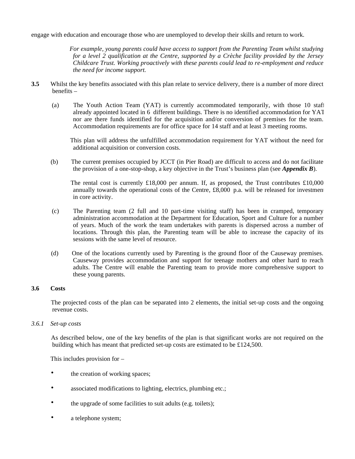engage with education and encourage those who are unemployed to develop their skills and return to work.

 *For example, young parents could have access to support from the Parenting Team whilst studying for a level 2 qualification at the Centre, supported by a Crèche facility provided by the Jersey Childcare Trust. Working proactively with these parents could lead to re-employment and reduce the need for income support.*

- **3.5**Whilst the key benefits associated with this plan relate to service delivery, there is a number of more direct benefits –
	- (a) The Youth Action Team (YAT) is currently accommodated temporarily, with those 10 staff already appointed located in 6 different buildings. There is no identified accommodation for YAT nor are there funds identified for the acquisition and/or conversion of premises for the team. Accommodation requirements are for office space for 14 staff and at least 3 meeting rooms.

 This plan will address the unfulfilled accommodation requirement for YAT without the need for additional acquisition or conversion costs.

 (b) The current premises occupied by JCCT (in Pier Road) are difficult to access and do not facilitate the provision of a one-stop-shop, a key objective in the Trust's business plan (see *Appendix B*).

The rental cost is currently £18,000 per annum. If, as proposed, the Trust contributes £10,000 annually towards the operational costs of the Centre,  $\pounds 8,000$  p.a. will be released for investmen in core activity.

- (c) The Parenting team (2 full and 10 part-time visiting staff) has been in cramped, temporary administration accommodation at the Department for Education, Sport and Culture for a number of years. Much of the work the team undertakes with parents is dispersed across a number of locations. Through this plan, the Parenting team will be able to increase the capacity of its sessions with the same level of resource.
- (d) One of the locations currently used by Parenting is the ground floor of the Causeway premises. Causeway provides accommodation and support for teenage mothers and other hard to reach adults. The Centre will enable the Parenting team to provide more comprehensive support to these young parents.

## **3.6 Costs**

The projected costs of the plan can be separated into 2 elements, the initial set-up costs and the ongoing revenue costs.

*3.6.1 Set-up costs*

As described below, one of the key benefits of the plan is that significant works are not required on the building which has meant that predicted set-up costs are estimated to be £124,500.

This includes provision for –

- the creation of working spaces;
- associated modifications to lighting, electrics, plumbing etc.;
- the upgrade of some facilities to suit adults (e.g. toilets);
- a telephone system;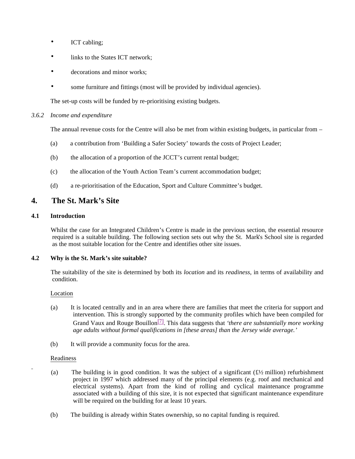- ICT cabling;
- links to the States ICT network;
- decorations and minor works:
- some furniture and fittings (most will be provided by individual agencies).

The set-up costs will be funded by re-prioritising existing budgets.

## *3.6.2 Income and expenditure*

The annual revenue costs for the Centre will also be met from within existing budgets, in particular from –

- (a) a contribution from 'Building a Safer Society' towards the costs of Project Leader;
- (b) the allocation of a proportion of the JCCT's current rental budget;
- (c) the allocation of the Youth Action Team's current accommodation budget;
- (d) a re-prioritisation of the Education, Sport and Culture Committee's budget.

## **4. The St. Mark's Site**

## **4.1 Introduction**

Whilst the case for an Integrated Children's Centre is made in the previous section, the essential resource required is a suitable building. The following section sets out why the St. Mark's School site is regarded as the most suitable location for the Centre and identifies other site issues.

## **4.2 Why is the St. Mark's site suitable?**

 The suitability of the site is determined by both its *location* and its *readiness,* in terms of availability and condition.

## Location

- (a) It is located centrally and in an area where there are families that meet the criteria for support and intervention. This is strongly supported by the community profiles which have been compiled for Grand Vaux and Rouge Bouillon[7]. This data suggests that *'there are substantially more working age adults without formal qualifications in [these areas] than the Jersey wide average.'*
- (b) It will provide a community focus for the area.

## Readiness

- (a) The building is in good condition. It was the subject of a significant  $(E/2)$  million) refurbishment project in 1997 which addressed many of the principal elements (e.g. roof and mechanical and electrical systems). Apart from the kind of rolling and cyclical maintenance programme associated with a building of this size, it is not expected that significant maintenance expenditure will be required on the building for at least 10 years.
- (b) The building is already within States ownership, so no capital funding is required.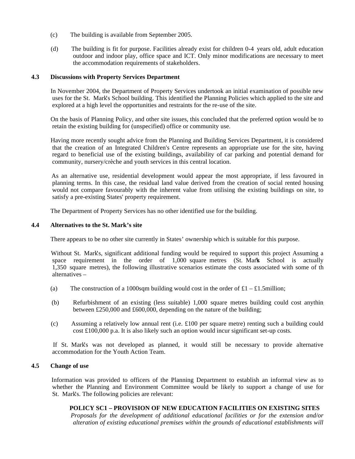- (c) The building is available from September 2005.
- (d) The building is fit for purpose. Facilities already exist for children 0-4 years old, adult education, outdoor and indoor play, office space and ICT. Only minor modifications are necessary to meet the accommodation requirements of stakeholders.

## **4.3 Discussions with Property Services Department**

In November 2004, the Department of Property Services undertook an initial examination of possible new uses for the St. Mark's School building. This identified the Planning Policies which applied to the site and explored at a high level the opportunities and restraints for the re-use of the site.

 On the basis of Planning Policy, and other site issues, this concluded that the preferred option would be to retain the existing building for (unspecified) office or community use.

 Having more recently sought advice from the Planning and Building Services Department, it is considered that the creation of an Integrated Children's Centre represents an appropriate use for the site, having regard to beneficial use of the existing buildings, availability of car parking and potential demand for community, nursery/crèche and youth services in this central location.

 As an alternative use, residential development would appear the most appropriate, if less favoured in planning terms. In this case, the residual land value derived from the creation of social rented housing would not compare favourably with the inherent value from utilising the existing buildings on site, to satisfy a pre-existing States' property requirement.

The Department of Property Services has no other identified use for the building.

## **4.4 Alternatives to the St. Mark's site**

There appears to be no other site currently in States' ownership which is suitable for this purpose.

 Without St. Mark's, significant additional funding would be required to support this project Assuming a space requirement in the order of  $1,000$  square metres (St. Mark School is actually 1,350 square metres), the following illustrative scenarios estimate the costs associated with some of the alternatives –

- (a) The construction of a 1000sqm building would cost in the order of  $\pounds 1 \pounds 1.5$ million;
- (b) Refurbishment of an existing (less suitable) 1,000 square metres building could cost anything between £250,000 and £600,000, depending on the nature of the building;
- (c) Assuming a relatively low annual rent (i.e. £100 per square metre) renting such a building could cost £100,000 p.a. It is also likely such an option would incur significant set-up costs.

 If St. Mark's was not developed as planned, it would still be necessary to provide alternative accommodation for the Youth Action Team.

## **4.5 Change of use**

Information was provided to officers of the Planning Department to establish an informal view as to whether the Planning and Environment Committee would be likely to support a change of use for St. Mark's. The following policies are relevant:

## **POLICY SC1 – PROVISION OF NEW EDUCATION FACILITIES ON EXISTING SITES**

*Proposals for the development of additional educational facilities or for the extension and/or alteration of existing educational premises within the grounds of educational establishments will*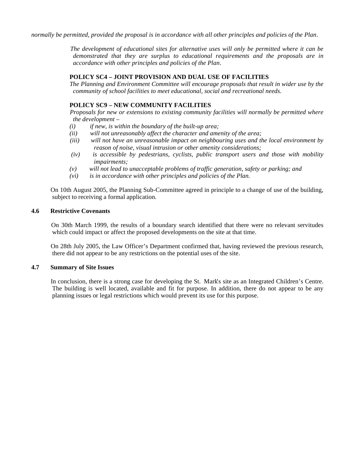*normally be permitted, provided the proposal is in accordance with all other principles and policies of the Plan*.

 *The development of educational sites for alternative uses will only be permitted where it can be demonstrated that they are surplus to educational requirements and the proposals are in accordance with other principles and policies of the Plan*.

## **POLICY SC4 – JOINT PROVISION AND DUAL USE OF FACILITIES**

*The Planning and Environment Committee will encourage proposals that result in wider use by the community of school facilities to meet educational, social and recreational needs.*

## **POLICY SC9 – NEW COMMUNITY FACILITIES**

*Proposals for new or extensions to existing community facilities will normally be permitted where the development –*

- *(i) if new, is within the boundary of the built-up area;*
- *(ii) will not unreasonably affect the character and amenity of the area;*
- *(iii) will not have an unreasonable impact on neighbouring uses and the local environment by reason of noise, visual intrusion or other amenity considerations;*
- *(iv) is accessible by pedestrians, cyclists, public transport users and those with mobility impairments;*
- *(v) will not lead to unacceptable problems of traffic generation, safety or parking; and*
- *(vi) is in accordance with other principles and policies of the Plan.*

 On 10th August 2005, the Planning Sub-Committee agreed in principle to a change of use of the building, subject to receiving a formal application.

## **4.6 Restrictive Covenants**

On 30th March 1999, the results of a boundary search identified that there were no relevant servitudes which could impact or affect the proposed developments on the site at that time.

 On 28th July 2005, the Law Officer's Department confirmed that, having reviewed the previous research, there did not appear to be any restrictions on the potential uses of the site.

## **4.7 Summary of Site Issues**

In conclusion, there is a strong case for developing the St. Mark's site as an Integrated Children's Centre. The building is well located, available and fit for purpose. In addition, there do not appear to be any planning issues or legal restrictions which would prevent its use for this purpose.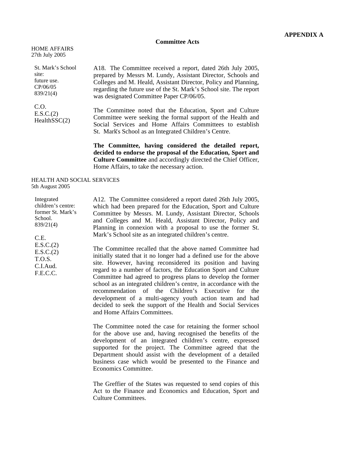#### **Committee Acts**

| <b>HOME AFFAIRS</b> |  |
|---------------------|--|
| 27th July 2005      |  |

St. Mark's School site: future use. CP/06/05 839/21(4)

C.O. E.S.C.(2) HealthSSC(2)

A18. The Committee received a report, dated 26th July 2005, prepared by Messrs M. Lundy, Assistant Director, Schools and Colleges and M. Heald, Assistant Director, Policy and Planning, regarding the future use of the St. Mark's School site. The report was designated Committee Paper CP/06/05.

The Committee noted that the Education, Sport and Culture Committee were seeking the formal support of the Health and Social Services and Home Affairs Committees to establish St. Mark's School as an Integrated Children's Centre.

**The Committee, having considered the detailed report, decided to endorse the proposal of the Education, Sport and Culture Committee** and accordingly directed the Chief Officer, Home Affairs, to take the necessary action.

#### HEALTH AND SOCIAL SERVICES 5th August 2005

Integrated children's centre: former St. Mark's School. 839/21(4) C.E. E.S.C.(2) E.S.C.(2) T.O.S. C.I.Aud. F.E.C.C. A12. The Committee considered a report dated 26th July 2005, which had been prepared for the Education, Sport and Culture Committee by Messrs. M. Lundy, Assistant Director, Schools and Colleges and M. Heald, Assistant Director, Policy and Planning in connexion with a proposal to use the former St. Mark's School site as an integrated children's centre. The Committee recalled that the above named Committee had initially stated that it no longer had a defined use for the above site. However, having reconsidered its position and having regard to a number of factors, the Education Sport and Culture Committee had agreed to progress plans to develop the former school as an integrated children's centre, in accordance with the recommendation of the Children's Executive for the development of a multi-agency youth action team and had

and Home Affairs Committees.

The Committee noted the case for retaining the former school for the above use and, having recognised the benefits of the development of an integrated children's centre, expressed supported for the project. The Committee agreed that the Department should assist with the development of a detailed business case which would be presented to the Finance and Economics Committee.

decided to seek the support of the Health and Social Services

The Greffier of the States was requested to send copies of this Act to the Finance and Economics and Education, Sport and Culture Committees.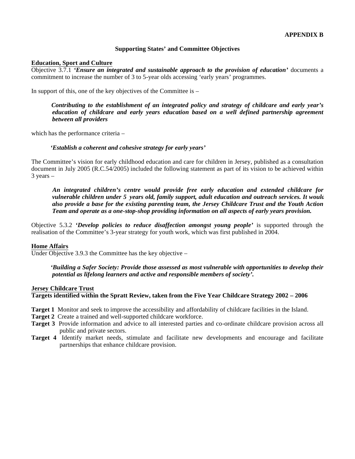## **Supporting States' and Committee Objectives**

#### **Education, Sport and Culture**

Objective 3.7.1 *'Ensure an integrated and sustainable approach to the provision of education'* documents a commitment to increase the number of 3 to 5-year olds accessing 'early years' programmes.

In support of this, one of the key objectives of the Committee is –

 *Contributing to the establishment of an integrated policy and strategy of childcare and early year's education of childcare and early years education based on a well defined partnership agreement between all providers*

which has the performance criteria –

#### *'Establish a coherent and cohesive strategy for early years'*

The Committee's vision for early childhood education and care for children in Jersey, published as a consultation document in July 2005 (R.C.54/2005) included the following statement as part of its vision to be achieved within 3 years –

 *An integrated children's centre would provide free early education and extended childcare for vulnerable children under 5 years old, family support, adult education and outreach services. It would also provide a base for the existing parenting team, the Jersey Childcare Trust and the Youth Action Team and operate as a one-stop-shop providing information on all aspects of early years provision.*

Objective 5.3.2 *'Develop policies to reduce disaffection amongst young people'* is supported through the realisation of the Committee's 3-year strategy for youth work, which was first published in 2004.

## **Home Affairs**

Under Objective 3.9.3 the Committee has the key objective –

 *'Building a Safer Society: Provide those assessed as most vulnerable with opportunities to develop their potential as lifelong learners and active and responsible members of society'.*

## **Jersey Childcare Trust**

## **Targets identified within the Spratt Review, taken from the Five Year Childcare Strategy 2002 – 2006**

- **Target 1** Monitor and seek to improve the accessibility and affordability of childcare facilities in the Island.
- **Target 2** Create a trained and well-supported childcare workforce.
- **Target 3** Provide information and advice to all interested parties and co-ordinate childcare provision across all public and private sectors.
- **Target 4** Identify market needs, stimulate and facilitate new developments and encourage and facilitate partnerships that enhance childcare provision.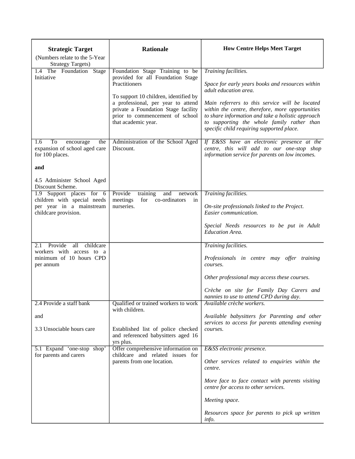| <b>Strategic Target</b><br>(Numbers relate to the 5-Year)                         | <b>Rationale</b>                                                                                                                                                     | <b>How Centre Helps Meet Target</b>                                                                                                                                                                     |
|-----------------------------------------------------------------------------------|----------------------------------------------------------------------------------------------------------------------------------------------------------------------|---------------------------------------------------------------------------------------------------------------------------------------------------------------------------------------------------------|
| <b>Strategy Targets)</b>                                                          |                                                                                                                                                                      |                                                                                                                                                                                                         |
| 1.4 The Foundation Stage<br>Initiative                                            | Foundation Stage Training to be<br>provided for all Foundation Stage<br>Practitioners<br>To support 10 children, identified by<br>a professional, per year to attend | Training facilities.<br>Space for early years books and resources within<br>adult education area.<br>Main referrers to this service will be located<br>within the centre, therefore, more opportunities |
|                                                                                   | private a Foundation Stage facility<br>prior to commencement of school<br>that academic year.                                                                        | to share information and take a holistic approach<br>to supporting the whole family rather than<br>specific child requiring supported place.                                                            |
| To<br>1.6<br>encourage<br>the<br>expansion of school aged care<br>for 100 places. | Administration of the School Aged<br>Discount.                                                                                                                       | If E&SS have an electronic presence at the<br>centre, this will add to our one-stop shop<br>information service for parents on low incomes.                                                             |
| and                                                                               |                                                                                                                                                                      |                                                                                                                                                                                                         |
| 4.5 Administer School Aged<br>Discount Scheme.                                    |                                                                                                                                                                      |                                                                                                                                                                                                         |
| 1.9 Support places for 6                                                          | Provide<br>training<br>and<br>network                                                                                                                                | Training facilities.                                                                                                                                                                                    |
| children with special needs<br>per year in a mainstream<br>childcare provision.   | meetings<br>for<br>co-ordinators<br>in<br>nurseries.                                                                                                                 | On-site professionals linked to the Project.<br>Easier communication.                                                                                                                                   |
|                                                                                   |                                                                                                                                                                      | Special Needs resources to be put in Adult<br><b>Education Area.</b>                                                                                                                                    |
| Provide<br>all<br>childcare<br>2.1                                                |                                                                                                                                                                      | Training facilities.                                                                                                                                                                                    |
| workers with access to a<br>minimum of 10 hours CPD<br>per annum                  |                                                                                                                                                                      | Professionals in centre may offer training<br>courses.                                                                                                                                                  |
|                                                                                   |                                                                                                                                                                      | Other professional may access these courses.                                                                                                                                                            |
|                                                                                   |                                                                                                                                                                      | Crèche on site for Family Day Carers and<br>nannies to use to attend CPD during day.                                                                                                                    |
| 2.4 Provide a staff bank                                                          | Qualified or trained workers to work<br>with children.                                                                                                               | Available crèche workers.                                                                                                                                                                               |
| and                                                                               |                                                                                                                                                                      | Available babysitters for Parenting and other<br>services to access for parents attending evening                                                                                                       |
| 3.3 Unsociable hours care                                                         | Established list of police checked<br>and referenced babysitters aged 16<br>yrs plus.                                                                                | courses.                                                                                                                                                                                                |
| 5.1 Expand 'one-stop shop'<br>for parents and carers                              | Offer comprehensive information on<br>childcare and related issues for<br>parents from one location.                                                                 | E&SS electronic presence.                                                                                                                                                                               |
|                                                                                   |                                                                                                                                                                      | Other services related to enquiries within the<br>centre.                                                                                                                                               |
|                                                                                   |                                                                                                                                                                      | More face to face contact with parents visiting<br>centre for access to other services.                                                                                                                 |
|                                                                                   |                                                                                                                                                                      | Meeting space.                                                                                                                                                                                          |
|                                                                                   |                                                                                                                                                                      | Resources space for parents to pick up written<br><i>info.</i>                                                                                                                                          |